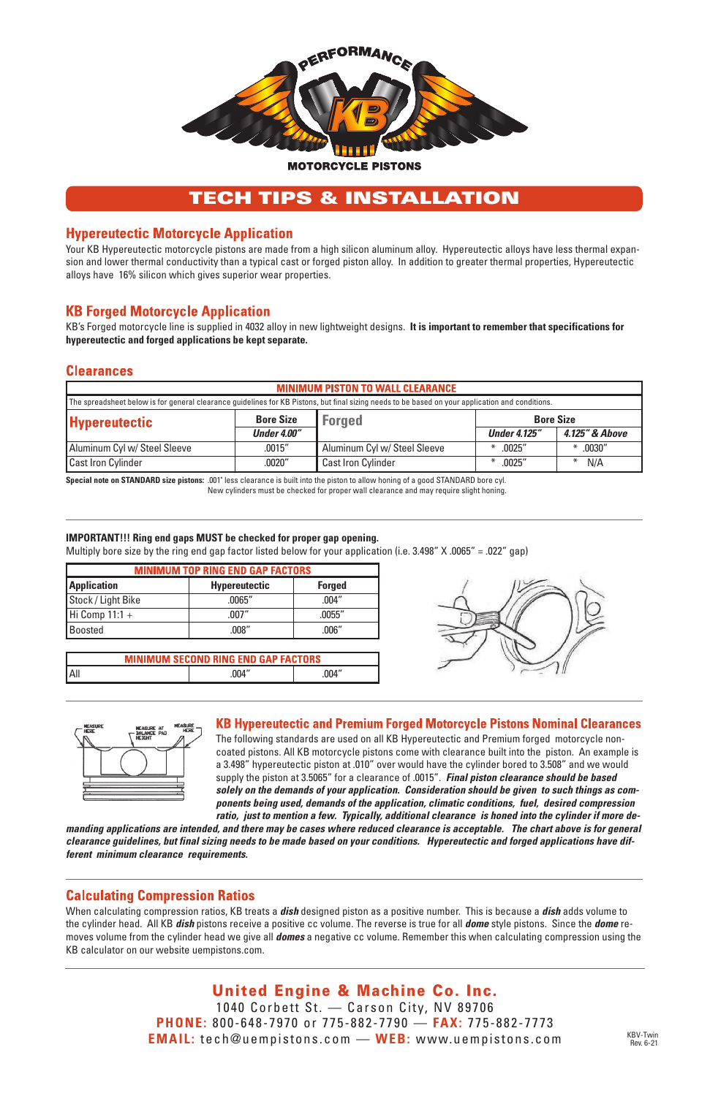

# TECH TIPS & INSTALLATION

#### **Hypereutectic Motorcycle Application**

Your KB Hypereutectic motorcycle pistons are made from a high silicon aluminum alloy. Hypereutectic alloys have less thermal expansion and lower thermal conductivity than a typical cast or forged piston alloy. In addition to greater thermal properties, Hypereutectic alloys have 16% silicon which gives superior wear properties.

## **KB Forged Motorcycle Application**

KB's Forged motorcycle line is supplied in 4032 alloy in new lightweight designs. **It is important to remember that specifications for hypereutectic and forged applications be kept separate.**

#### **Clearances**

| <b>MINIMUM PISTON TO WALL CLEARANCE</b>                                                                                                          |                    |                              |                     |                |  |
|--------------------------------------------------------------------------------------------------------------------------------------------------|--------------------|------------------------------|---------------------|----------------|--|
| The spreadsheet below is for general clearance guidelines for KB Pistons, but final sizing needs to be based on your application and conditions. |                    |                              |                     |                |  |
| <b>Hypereutectic</b>                                                                                                                             | <b>Bore Size</b>   | <b>Forged</b>                | <b>Bore Size</b>    |                |  |
|                                                                                                                                                  | <b>Under 4.00"</b> |                              | <b>Under 4.125"</b> | 4.125" & Above |  |
| Aluminum Cyl w/ Steel Sleeve                                                                                                                     | .0015''            | Aluminum Cyl w/ Steel Sleeve | .0025''<br>₩        | $*$ .0030"     |  |
| Cast Iron Cylinder                                                                                                                               | .0020''            | <b>Cast Iron Cylinder</b>    | .0025''<br>₩        | N/A            |  |

**Special note on STANDARD size pistons:** .001" less clearance is built into the piston to allow honing of a good STANDARD bore cyl. New cylinders must be checked for proper wall clearance and may require slight honing.

#### **IMPORTANT!!! Ring end gaps MUST be checked for proper gap opening.**

Multiply bore size by the ring end gap factor listed below for your application (i.e. 3.498" X .0065" = .022" gap)

| <b>MINIMUM TOP RING END GAP FACTORS</b> |                      |               |  |
|-----------------------------------------|----------------------|---------------|--|
| <b>Application</b>                      | <b>Hypereutectic</b> | <b>Forged</b> |  |
| Stock / Light Bike                      | .0065''              | .004''        |  |
| Hi Comp $11:1 +$                        | .007''               | .0055''       |  |
| <b>Boosted</b>                          | .008''               | .006''        |  |

| <b>MINIMUM SECOND RING END GAP FACTORS</b> |        |        |  |
|--------------------------------------------|--------|--------|--|
| l All                                      | .004'' | .004'' |  |





#### **KB Hypereutectic and Premium Forged Motorcycle Pistons Nominal Clearances**

The following standards are used on all KB Hypereutectic and Premium forged motorcycle noncoated pistons. All KB motorcycle pistons come with clearance built into the piston. An example is a 3.498" hypereutectic piston at .010" over would have the cylinder bored to 3.508" and we would supply the piston at 3.5065" for a clearance of .0015". *Final piston clearance should be based solely on the demands of your application. Consideration should be given to such things as components being used, demands of the application, climatic conditions, fuel, desired compression ratio, just to mention a few. Typically, additional clearance is honed into the cylinder if more de-*

manding applications are intended, and there may be cases where reduced clearance is acceptable. The chart above is for general clearance quidelines, but final sizing needs to be made based on your conditions. Hypereutectic and forged applications have dif*ferent minimum clearance requirements.*

#### **Calculating Compression Ratios**

When calculating compression ratios, KB treats a *dish* designed piston as a positive number. This is because a *dish* adds volume to the cylinder head. All KB *dish* pistons receive a positive cc volume. The reverse is true for all *dome* style pistons. Since the *dome* removes volume from the cylinder head we give all *domes* a negative cc volume. Remember this when calculating compression using the KB calculator on our website uempistons.com.

> United Engine & Machine Co. Inc. 1040 Corbett St. — Carson City, NV 89706 **PHONE:** 800-648-7970 or 775-882-7790 — **FAX:** 775-882-7773 **EMAIL:** tech@uempistons.com — **WEB:** www.uempistons.com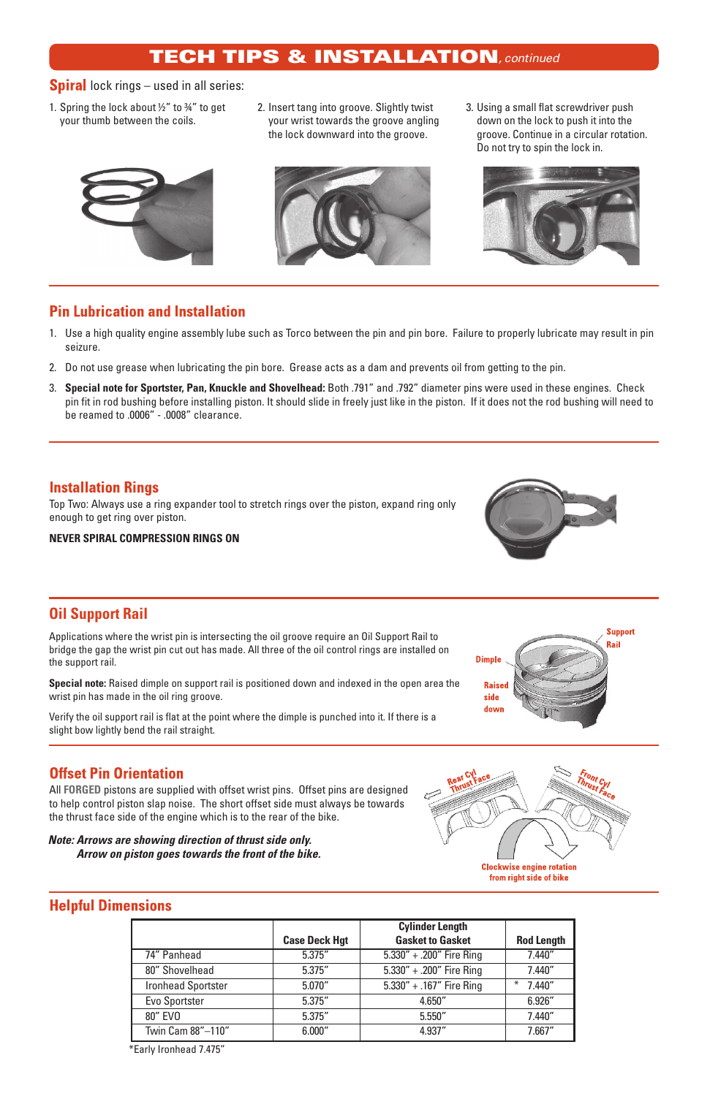# TECH TIPS & INSTALLATION*, continued*

#### **Spiral** lock rings – used in all series:

- 1. Spring the lock about ½" to 34" to get your thumb between the coils.
- 2. Insert tang into groove. Slightly twist your wrist towards the groove angling the lock downward into the groove.
- 3. Using a small flat screwdriver push down on the lock to push it into the groove. Continue in a circular rotation. Do not try to spin the lock in.







## **Pin Lubrication and Installation**

- 1. Use a high quality engine assembly lube such as Torco between the pin and pin bore. Failure to properly lubricate may result in pin seizure.
- 2. Do not use grease when lubricating the pin bore. Grease acts as a dam and prevents oil from getting to the pin.
- 3. **Special note for Sportster, Pan, Knuckle and Shovelhead:** Both .791" and .792" diameter pins were used in these engines. Check pin fit in rod bushing before installing piston. It should slide in freely just like in the piston. If it does not the rod bushing will need to be reamed to .0006" - .0008" clearance.

## **Installation Rings**

Top Two: Always use a ring expander tool to stretch rings over the piston, expand ring only enough to get ring over piston.

**NEVER SPIRAL COMPRESSION RINGS ON**



## **Oil Support Rail**

Applications where the wrist pin is intersecting the oil groove require an Oil Support Rail to bridge the gap the wrist pin cut out has made. All three of the oil control rings are installed on the support rail.

**Special note:** Raised dimple on support rail is positioned down and indexed in the open area the wrist pin has made in the oil ring groove.

Verify the oil support rail is flat at the point where the dimple is punched into it. If there is a slight bow lightly bend the rail straight.



## **Offset Pin Orientation**

All **FORGED** pistons are supplied with offset wrist pins. Offset pins are designed to help control piston slap noise. The short offset side must always be towards the thrust face side of the engine which is to the rear of the bike.

*Note: Arrows are showing direction of thrust side only. Arrow on piston goes towards the front of the bike.*



#### **Helpful Dimensions**

|                           |                      | <b>Cylinder Length</b>       |                   |
|---------------------------|----------------------|------------------------------|-------------------|
|                           | <b>Case Deck Hot</b> | <b>Gasket to Gasket</b>      | <b>Rod Length</b> |
| 74" Panhead               | 5.375''              | $5.330'' + .200''$ Fire Ring | 7.440''           |
| 80" Shovelhead            | 5.375"               | 5.330" + .200" Fire Ring     | 7.440''           |
| <b>Ironhead Sportster</b> | 5.070''              | 5.330" + .167" Fire Ring     | 7.440''           |
| Evo Sportster             | 5.375"               | 4.650"                       | 6.926"            |
| 80" EVO                   | 5.375"               | 5.550''                      | 7.440"            |
| Twin Cam 88"-110"         | 6.000"               | 4.937"                       | 7.667"            |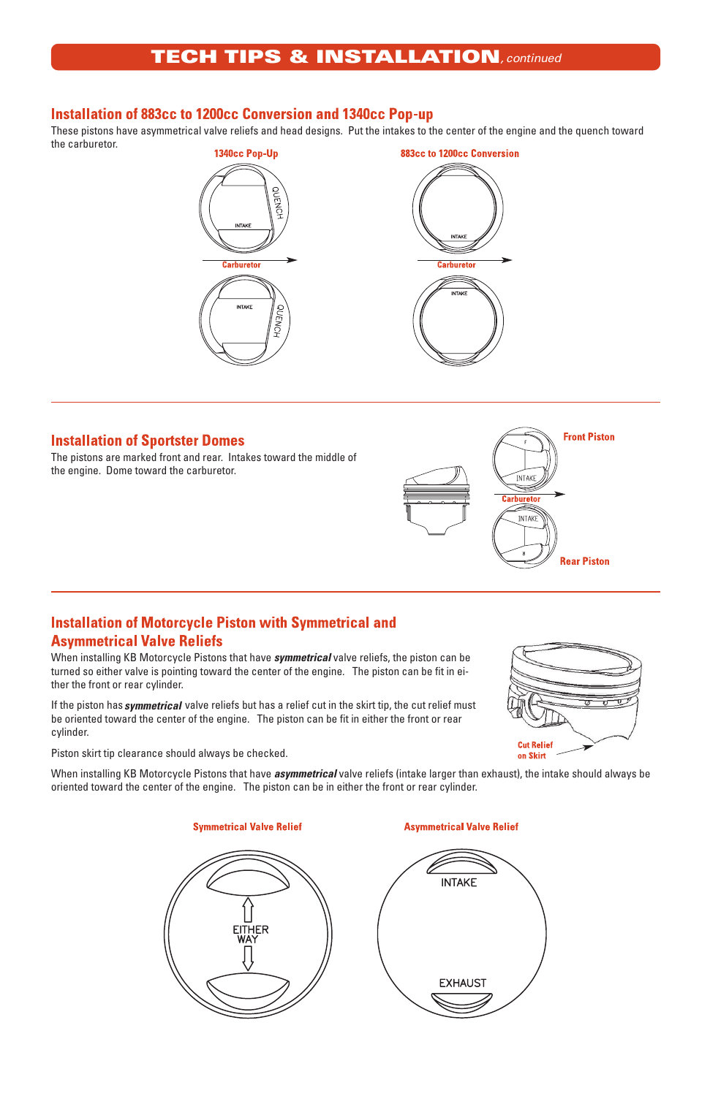# TECH TIPS & INSTALLATION*, continued*

## **Installation of 883cc to 1200cc Conversion and 1340cc Pop-up**

These pistons have asymmetrical valve reliefs and head designs. Put the intakes to the center of the engine and the quench toward the carburetor.





#### **Installation of Sportster Domes**

The pistons are marked front and rear. Intakes toward the middle of the engine. Dome toward the carburetor.



## **Installation of Motorcycle Piston with Symmetrical and Asymmetrical Valve Reliefs**

When installing KB Motorcycle Pistons that have *symmetrical* valve reliefs, the piston can be turned so either valve is pointing toward the center of the engine. The piston can be fit in either the front or rear cylinder.

If the piston has *symmetrical* valve reliefs but has a relief cut in the skirt tip, the cut relief must be oriented toward the center of the engine. The piston can be fit in either the front or rear cylinder.



Piston skirt tip clearance should always be checked.

When installing KB Motorcycle Pistons that have *asymmetrical* valve reliefs (intake larger than exhaust), the intake should always be oriented toward the center of the engine. The piston can be in either the front or rear cylinder.

**Symmetrical Valve Relief** 

**Asymmetrical Valve Relief**